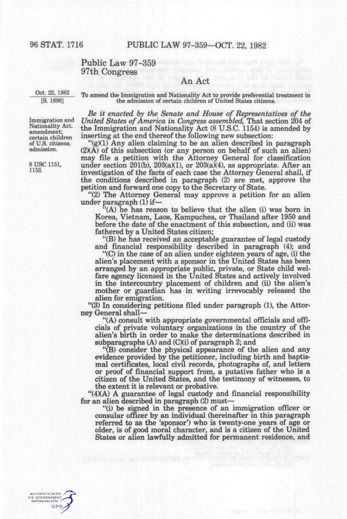## Public Law 97–359 97th Congress

## An Act

Oct. 22, 1982 [S. 1698]

To amend the Immigration and Nationality Act to provide preferential treatment in the admission of certain children of United States citizens.

*Be it enacted by the Senate and House of Representatives of the United States of America in Congress assembled,* That section 204 of the Immigration and Nationality Act (8 U.S.C. 1154) is amended by inserting at the end thereof the following new subsection:

"(g)(1) Any alien claiming to be an alien described in paragraph  $(2)(A)$  of this subsection (or any person on behalf of such an alien) may file a petition with the Attorney General for classification under section 201(b), 203(a)(1), or 203(a)(4), as appropriate. After an investigation of the facts of each case the Attorney General shall, if the conditions described in paragraph (2) are met, approve the petition and forward one copy to the Secretary of State.

"(2) The Attorney General may approve a petition for an alien under paragraph (1) if—

"(A) he has reason to believe that the alien (i) was born in Korea, Vietnam, Laos, Kampuchea, or Thailand after 1950 and before the date of the enactment of this subsection, and (ii) was fathered by a United States citizen;

"(B) he has received an acceptable guarantee of legal custody and financial responsibility described in paragraph (4); and

"(C) in the case of an alien under eighteen years of age, (i) the alien's placement with a sponsor in the United States has been arranged by an appropriate public, private, or State child welfare agency licensed in the United States and actively involved in the intercountry placement of children and (ii) the alien's mother or guardian has in writing irrevocably released the alien for emigration.

"(3) In considering petitions filed under paragraph (1), the Attorney General shall—

"(A) consult with appropriate governmental officials and officials of private voluntary organizations in the country of the alien's birth in order to make the determinations described in subparagraphs (A) and (C)(i) of paragraph 2; and

"(B) consider the physical appearance of the alien and any evidence provided by the petitioner, including birth and baptismal certificates, local civil records, photographs of, and letters or proof of financial support from, a putative father who is a citizen of the United States, and the testimony of witnesses, to the extent it is relevant or probative.

 $\mathcal{H}(4)(A)$  A guarantee of legal custody and financial responsibility for an alien described in paragraph (2) must—

"(i) be signed in the presence of an immigration officer or consular officer by an individual (hereinafter in this paragraph referred to as the 'sponsor') who is twenty-one years of age or older, is of good moral character, and is a citizen of the United States or alien lawfully admitted for permanent residence, and

Immigration and Nationality Act, amendment; certain children of U.S. citizens, admission.

8 USC 1151, 1153.